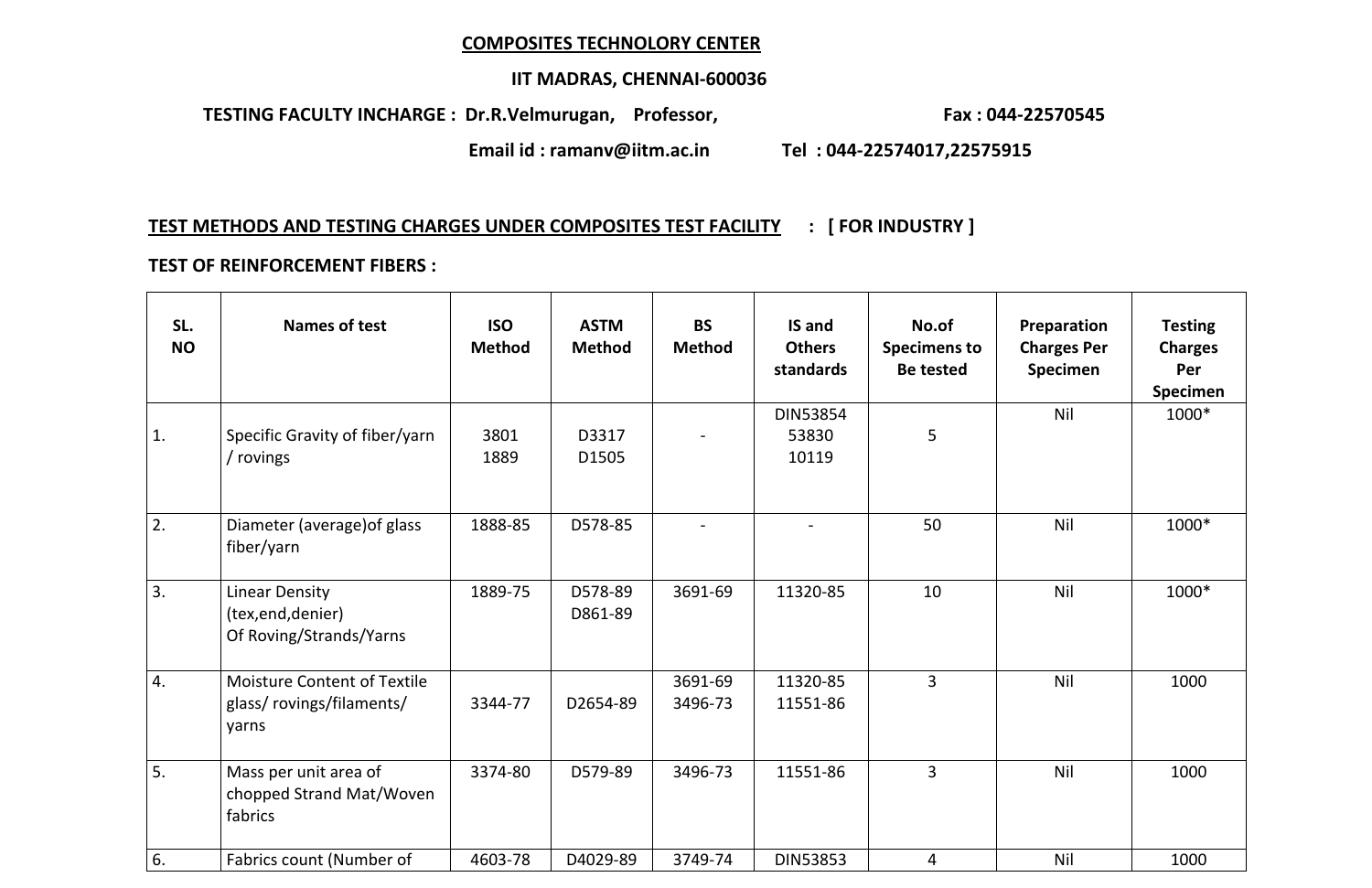## **COMPOSITES TECHNOLORY CENTER**

## **IIT MADRAS, CHENNAI-600036**

 **TESTING FACULTY INCHARGE** : Dr.R.Velmurugan, Professor, **Fax : 044-22570545** 

**Email id : ramanv@iitm.ac.in Tel : 044-22574017,22575915**

# **TEST METHODS AND TESTING CHARGES UNDER COMPOSITES TEST FACILITY : [ FOR INDUSTRY ]**

### **TEST OF REINFORCEMENT FIBERS :**

| SL.<br><b>NO</b> | <b>Names of test</b>                                                     | <b>ISO</b><br><b>Method</b> | <b>ASTM</b><br><b>Method</b> | <b>BS</b><br>Method | IS and<br><b>Others</b><br>standards | No.of<br><b>Specimens to</b><br><b>Be tested</b> | Preparation<br><b>Charges Per</b><br>Specimen | <b>Testing</b><br><b>Charges</b><br>Per<br><b>Specimen</b> |
|------------------|--------------------------------------------------------------------------|-----------------------------|------------------------------|---------------------|--------------------------------------|--------------------------------------------------|-----------------------------------------------|------------------------------------------------------------|
| 1.               | Specific Gravity of fiber/yarn<br>/ rovings                              | 3801<br>1889                | D3317<br>D1505               |                     | <b>DIN53854</b><br>53830<br>10119    | 5                                                | <b>Nil</b>                                    | 1000*                                                      |
| 2.               | Diameter (average) of glass<br>fiber/yarn                                | 1888-85                     | D578-85                      |                     |                                      | 50                                               | <b>Nil</b>                                    | 1000*                                                      |
| 3.               | <b>Linear Density</b><br>(tex, end, denier)<br>Of Roving/Strands/Yarns   | 1889-75                     | D578-89<br>D861-89           | 3691-69             | 11320-85                             | 10                                               | <b>Nil</b>                                    | 1000*                                                      |
| 4.               | <b>Moisture Content of Textile</b><br>glass/ rovings/filaments/<br>yarns | 3344-77                     | D2654-89                     | 3691-69<br>3496-73  | 11320-85<br>11551-86                 | $\overline{3}$                                   | <b>Nil</b>                                    | 1000                                                       |
| 5.               | Mass per unit area of<br>chopped Strand Mat/Woven<br>fabrics             | 3374-80                     | D579-89                      | 3496-73             | 11551-86                             | 3                                                | <b>Nil</b>                                    | 1000                                                       |
| 6.               | Fabrics count (Number of                                                 | 4603-78                     | D4029-89                     | 3749-74             | <b>DIN53853</b>                      | 4                                                | Nil                                           | 1000                                                       |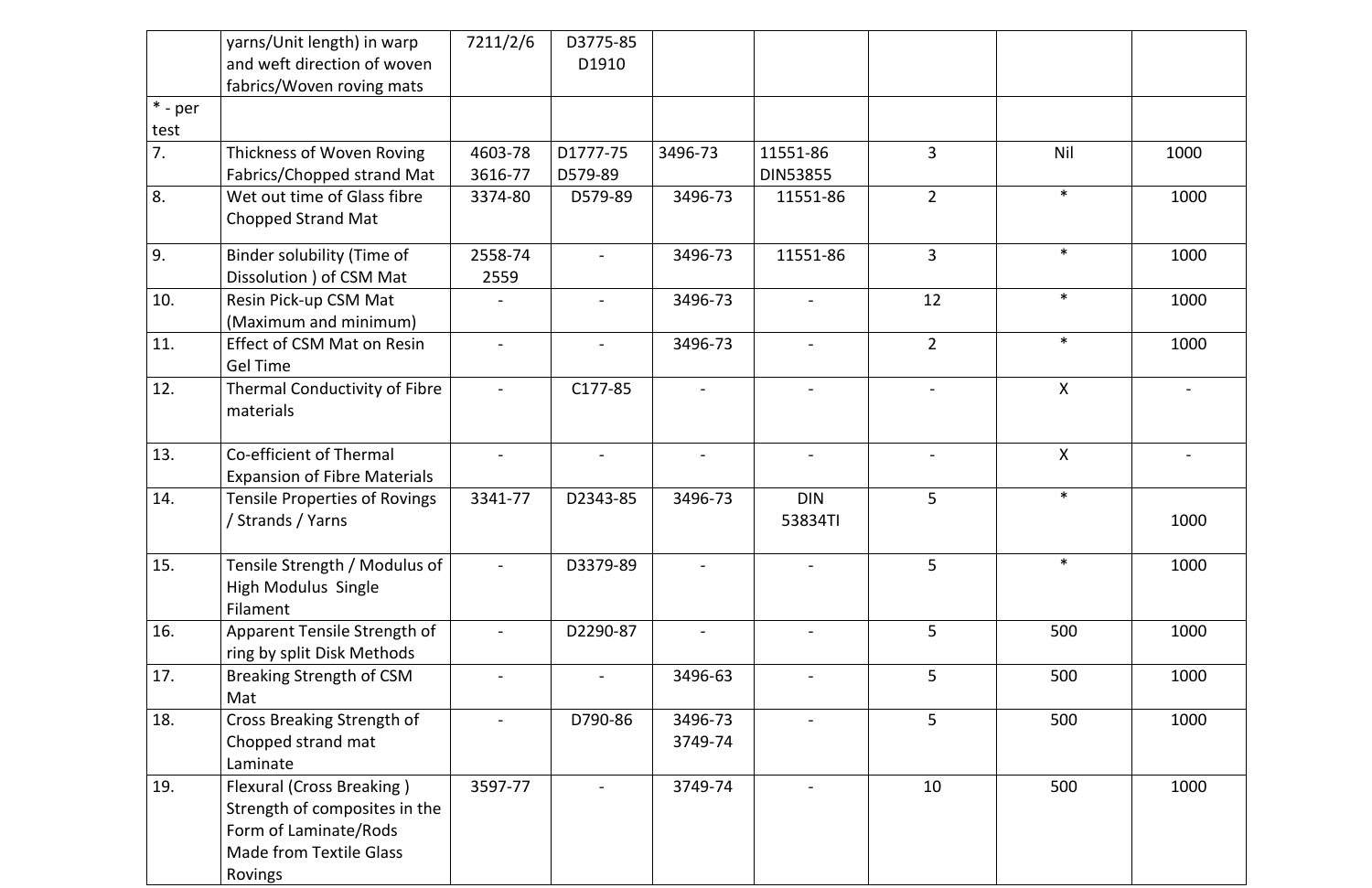|                   | yarns/Unit length) in warp<br>and weft direction of woven<br>fabrics/Woven roving mats                                                  | 7211/2/6           | D3775-85<br>D1910   |                    |                             |                |              |      |
|-------------------|-----------------------------------------------------------------------------------------------------------------------------------------|--------------------|---------------------|--------------------|-----------------------------|----------------|--------------|------|
| $*$ - per<br>test |                                                                                                                                         |                    |                     |                    |                             |                |              |      |
| 7.                | Thickness of Woven Roving<br>Fabrics/Chopped strand Mat                                                                                 | 4603-78<br>3616-77 | D1777-75<br>D579-89 | 3496-73            | 11551-86<br><b>DIN53855</b> | 3              | <b>Nil</b>   | 1000 |
| 8.                | Wet out time of Glass fibre<br><b>Chopped Strand Mat</b>                                                                                | 3374-80            | D579-89             | 3496-73            | 11551-86                    | $\overline{2}$ | $\ast$       | 1000 |
| 9.                | Binder solubility (Time of<br>Dissolution ) of CSM Mat                                                                                  | 2558-74<br>2559    |                     | 3496-73            | 11551-86                    | $\overline{3}$ | $\ast$       | 1000 |
| 10.               | Resin Pick-up CSM Mat<br>(Maximum and minimum)                                                                                          |                    |                     | 3496-73            |                             | 12             | $\ast$       | 1000 |
| 11.               | <b>Effect of CSM Mat on Resin</b><br><b>Gel Time</b>                                                                                    |                    |                     | 3496-73            |                             | $\overline{2}$ | $\ast$       | 1000 |
| 12.               | Thermal Conductivity of Fibre<br>materials                                                                                              | $\blacksquare$     | C177-85             |                    |                             |                | $\mathsf{X}$ |      |
| 13.               | Co-efficient of Thermal<br><b>Expansion of Fibre Materials</b>                                                                          |                    |                     |                    |                             |                | $\sf X$      |      |
| 14.               | <b>Tensile Properties of Rovings</b><br>/ Strands / Yarns                                                                               | 3341-77            | D2343-85            | 3496-73            | <b>DIN</b><br>53834TI       | 5              | $\ast$       | 1000 |
| 15.               | Tensile Strength / Modulus of<br><b>High Modulus Single</b><br>Filament                                                                 |                    | D3379-89            |                    |                             | 5              | $\ast$       | 1000 |
| 16.               | Apparent Tensile Strength of<br>ring by split Disk Methods                                                                              |                    | D2290-87            |                    |                             | 5              | 500          | 1000 |
| 17.               | <b>Breaking Strength of CSM</b><br>Mat                                                                                                  |                    |                     | 3496-63            |                             | 5              | 500          | 1000 |
| 18.               | Cross Breaking Strength of<br>Chopped strand mat<br>Laminate                                                                            |                    | D790-86             | 3496-73<br>3749-74 |                             | 5              | 500          | 1000 |
| 19.               | <b>Flexural (Cross Breaking)</b><br>Strength of composites in the<br>Form of Laminate/Rods<br><b>Made from Textile Glass</b><br>Rovings | 3597-77            |                     | 3749-74            |                             | 10             | 500          | 1000 |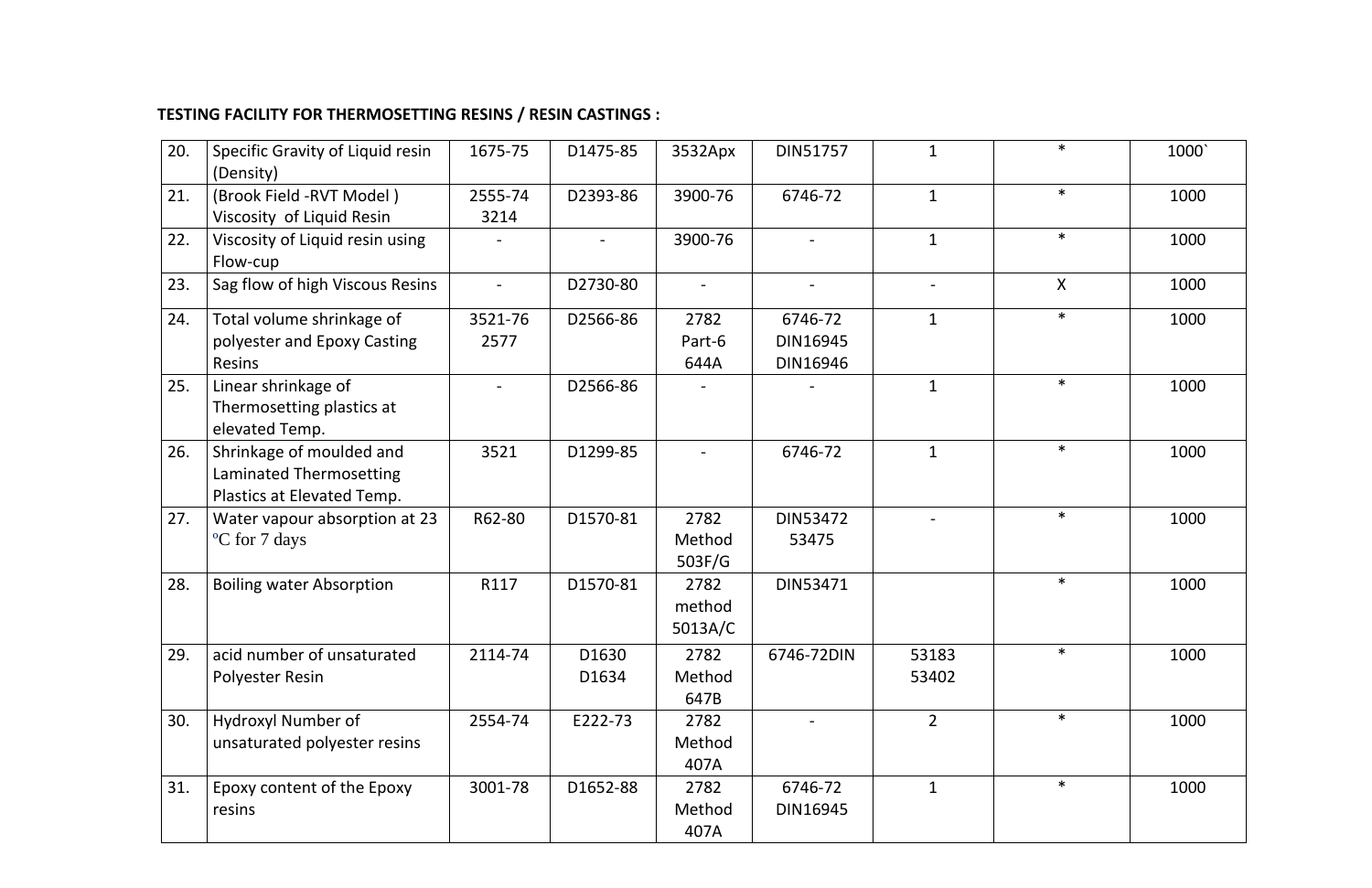## **TESTING FACILITY FOR THERMOSETTING RESINS / RESIN CASTINGS :**

| 20. | Specific Gravity of Liquid resin<br>(Density)                                     | 1675-75         | D1475-85       | 3532Apx                   | DIN51757                        |                          | $\ast$ | 1000 |
|-----|-----------------------------------------------------------------------------------|-----------------|----------------|---------------------------|---------------------------------|--------------------------|--------|------|
| 21. | (Brook Field -RVT Model)<br>Viscosity of Liquid Resin                             | 2555-74<br>3214 | D2393-86       | 3900-76                   | 6746-72                         | $\mathbf{1}$             | $\ast$ | 1000 |
| 22. | Viscosity of Liquid resin using<br>Flow-cup                                       |                 | $\blacksquare$ | 3900-76                   |                                 | $\mathbf{1}$             | $\ast$ | 1000 |
| 23. | Sag flow of high Viscous Resins                                                   |                 | D2730-80       |                           |                                 | $\overline{\phantom{0}}$ | X      | 1000 |
| 24. | Total volume shrinkage of<br>polyester and Epoxy Casting<br><b>Resins</b>         | 3521-76<br>2577 | D2566-86       | 2782<br>Part-6<br>644A    | 6746-72<br>DIN16945<br>DIN16946 | $\mathbf{1}$             | $\ast$ | 1000 |
| 25. | Linear shrinkage of<br>Thermosetting plastics at<br>elevated Temp.                |                 | D2566-86       |                           |                                 | $\mathbf{1}$             | $\ast$ | 1000 |
| 26. | Shrinkage of moulded and<br>Laminated Thermosetting<br>Plastics at Elevated Temp. | 3521            | D1299-85       |                           | 6746-72                         | $\mathbf{1}$             | $\ast$ | 1000 |
| 27. | Water vapour absorption at 23<br>°C for 7 days                                    | R62-80          | D1570-81       | 2782<br>Method<br>503F/G  | DIN53472<br>53475               |                          | $\ast$ | 1000 |
| 28. | <b>Boiling water Absorption</b>                                                   | R117            | D1570-81       | 2782<br>method<br>5013A/C | DIN53471                        |                          | $\ast$ | 1000 |
| 29. | acid number of unsaturated<br>Polyester Resin                                     | 2114-74         | D1630<br>D1634 | 2782<br>Method<br>647B    | 6746-72DIN                      | 53183<br>53402           | $\ast$ | 1000 |
| 30. | Hydroxyl Number of<br>unsaturated polyester resins                                | 2554-74         | E222-73        | 2782<br>Method<br>407A    |                                 | $2^{\circ}$              | $\ast$ | 1000 |
| 31. | Epoxy content of the Epoxy<br>resins                                              | 3001-78         | D1652-88       | 2782<br>Method<br>407A    | 6746-72<br>DIN16945             | $\mathbf{1}$             | $\ast$ | 1000 |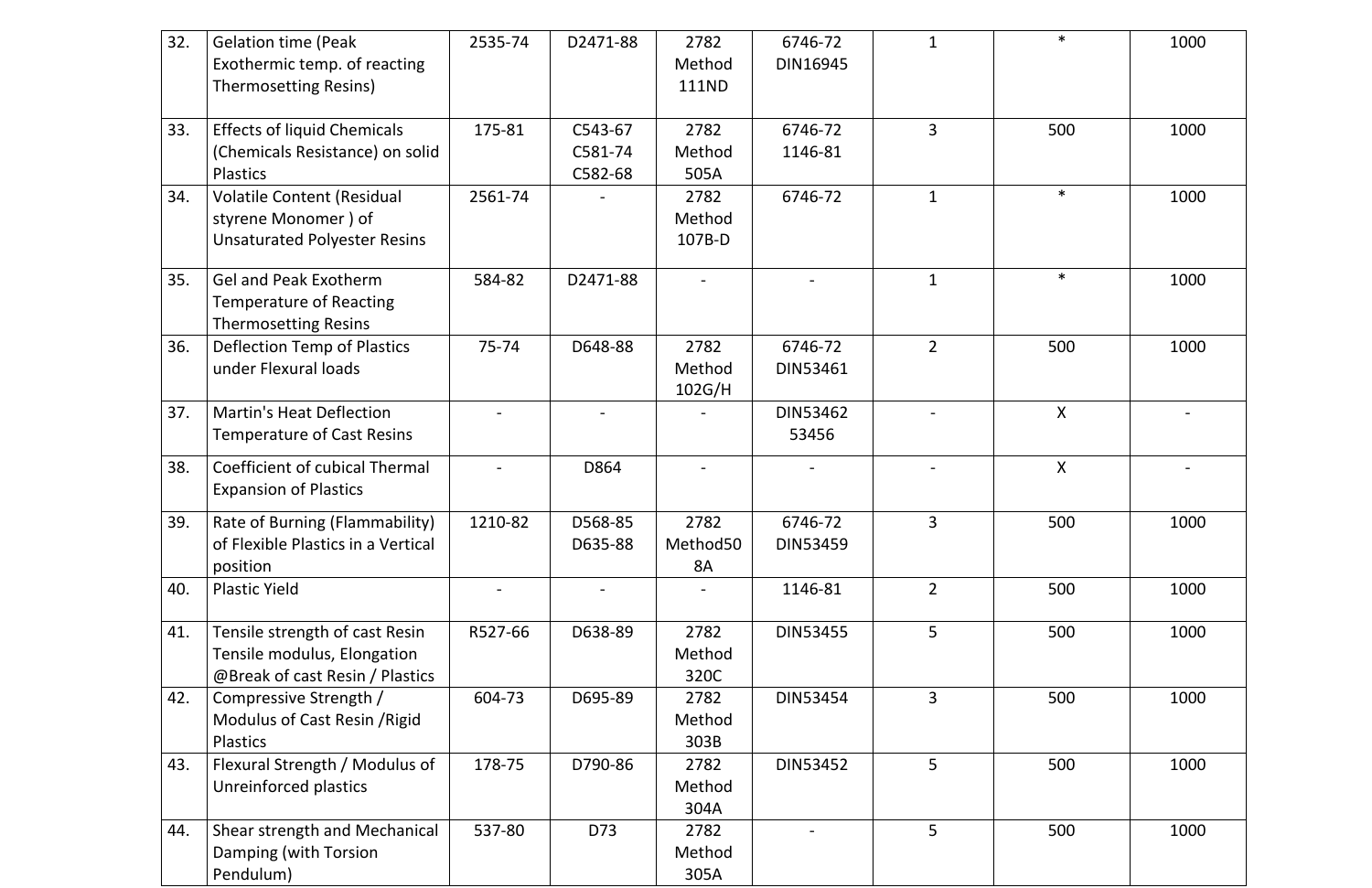| 32. | <b>Gelation time (Peak</b><br>Exothermic temp. of reacting<br>Thermosetting Resins)              | 2535-74 | D2471-88                      | 2782<br>Method<br>111ND  | 6746-72<br><b>DIN16945</b> |                | $\ast$ | 1000 |
|-----|--------------------------------------------------------------------------------------------------|---------|-------------------------------|--------------------------|----------------------------|----------------|--------|------|
| 33. | <b>Effects of liquid Chemicals</b><br>(Chemicals Resistance) on solid<br><b>Plastics</b>         | 175-81  | C543-67<br>C581-74<br>C582-68 | 2782<br>Method<br>505A   | 6746-72<br>1146-81         | $\overline{3}$ | 500    | 1000 |
| 34. | <b>Volatile Content (Residual</b><br>styrene Monomer) of<br><b>Unsaturated Polyester Resins</b>  | 2561-74 |                               | 2782<br>Method<br>107B-D | 6746-72                    | $\mathbf{1}$   | $\ast$ | 1000 |
| 35. | <b>Gel and Peak Exotherm</b><br><b>Temperature of Reacting</b><br><b>Thermosetting Resins</b>    | 584-82  | D2471-88                      |                          |                            | $\mathbf{1}$   | $\ast$ | 1000 |
| 36. | <b>Deflection Temp of Plastics</b><br>under Flexural loads                                       | 75-74   | D648-88                       | 2782<br>Method<br>102G/H | 6746-72<br><b>DIN53461</b> | $\overline{2}$ | 500    | 1000 |
| 37. | <b>Martin's Heat Deflection</b><br><b>Temperature of Cast Resins</b>                             |         |                               |                          | <b>DIN53462</b><br>53456   |                | X      |      |
| 38. | <b>Coefficient of cubical Thermal</b><br><b>Expansion of Plastics</b>                            |         | D864                          |                          |                            |                | X      |      |
| 39. | <b>Rate of Burning (Flammability)</b><br>of Flexible Plastics in a Vertical<br>position          | 1210-82 | D568-85<br>D635-88            | 2782<br>Method50<br>8A   | 6746-72<br><b>DIN53459</b> | 3              | 500    | 1000 |
| 40. | <b>Plastic Yield</b>                                                                             |         |                               |                          | 1146-81                    | $\overline{2}$ | 500    | 1000 |
| 41. | Tensile strength of cast Resin<br>Tensile modulus, Elongation<br>@Break of cast Resin / Plastics | R527-66 | D638-89                       | 2782<br>Method<br>320C   | DIN53455                   | 5              | 500    | 1000 |
| 42. | Compressive Strength /<br>Modulus of Cast Resin / Rigid<br><b>Plastics</b>                       | 604-73  | D695-89                       | 2782<br>Method<br>303B   | <b>DIN53454</b>            | 3              | 500    | 1000 |
| 43. | Flexural Strength / Modulus of<br>Unreinforced plastics                                          | 178-75  | D790-86                       | 2782<br>Method<br>304A   | <b>DIN53452</b>            | 5              | 500    | 1000 |
| 44. | Shear strength and Mechanical<br>Damping (with Torsion<br>Pendulum)                              | 537-80  | D73                           | 2782<br>Method<br>305A   |                            | 5              | 500    | 1000 |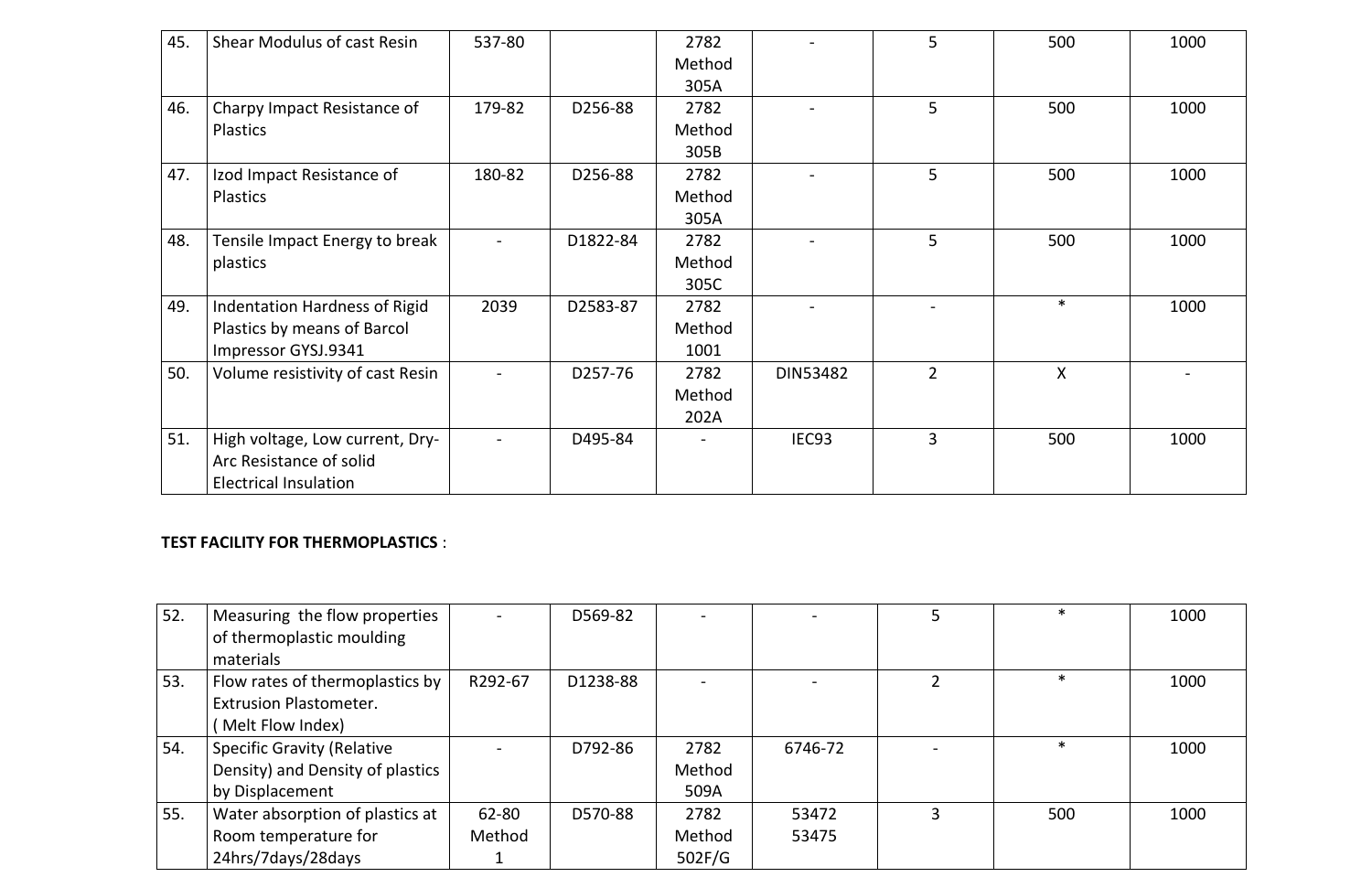| 45. | <b>Shear Modulus of cast Resin</b> | 537-80         |          | 2782   |                   | 5              | 500    | 1000 |
|-----|------------------------------------|----------------|----------|--------|-------------------|----------------|--------|------|
|     |                                    |                |          | Method |                   |                |        |      |
|     |                                    |                |          | 305A   |                   |                |        |      |
| 46. | Charpy Impact Resistance of        | 179-82         | D256-88  | 2782   |                   | 5              | 500    | 1000 |
|     | <b>Plastics</b>                    |                |          | Method |                   |                |        |      |
|     |                                    |                |          | 305B   |                   |                |        |      |
| 47. | Izod Impact Resistance of          | 180-82         | D256-88  | 2782   |                   | 5              | 500    | 1000 |
|     | <b>Plastics</b>                    |                |          | Method |                   |                |        |      |
|     |                                    |                |          | 305A   |                   |                |        |      |
| 48. | Tensile Impact Energy to break     | $\blacksquare$ | D1822-84 | 2782   |                   | 5              | 500    | 1000 |
|     | plastics                           |                |          | Method |                   |                |        |      |
|     |                                    |                |          | 305C   |                   |                |        |      |
| 49. | Indentation Hardness of Rigid      | 2039           | D2583-87 | 2782   |                   |                | $\ast$ | 1000 |
|     | Plastics by means of Barcol        |                |          | Method |                   |                |        |      |
|     | Impressor GYSJ.9341                |                |          | 1001   |                   |                |        |      |
| 50. | Volume resistivity of cast Resin   | $\blacksquare$ | D257-76  | 2782   | <b>DIN53482</b>   | $\overline{2}$ | X      |      |
|     |                                    |                |          | Method |                   |                |        |      |
|     |                                    |                |          | 202A   |                   |                |        |      |
| 51. | High voltage, Low current, Dry-    | $\blacksquare$ | D495-84  |        | IEC <sub>93</sub> | 3              | 500    | 1000 |
|     | Arc Resistance of solid            |                |          |        |                   |                |        |      |
|     | <b>Electrical Insulation</b>       |                |          |        |                   |                |        |      |

## **TEST FACILITY FOR THERMOPLASTICS** :

| 52. | Measuring the flow properties     |         | D569-82  |        |         | 5 | ∗   | 1000 |
|-----|-----------------------------------|---------|----------|--------|---------|---|-----|------|
|     | of thermoplastic moulding         |         |          |        |         |   |     |      |
|     | materials                         |         |          |        |         |   |     |      |
| 53. | Flow rates of thermoplastics by   | R292-67 | D1238-88 |        |         |   | ж   | 1000 |
|     | <b>Extrusion Plastometer.</b>     |         |          |        |         |   |     |      |
|     | Melt Flow Index)                  |         |          |        |         |   |     |      |
| 54. | <b>Specific Gravity (Relative</b> |         | D792-86  | 2782   | 6746-72 |   |     | 1000 |
|     | Density) and Density of plastics  |         |          | Method |         |   |     |      |
|     | by Displacement                   |         |          | 509A   |         |   |     |      |
| 55. | Water absorption of plastics at   | 62-80   | D570-88  | 2782   | 53472   | ζ | 500 | 1000 |
|     | Room temperature for              | Method  |          | Method | 53475   |   |     |      |
|     | 24hrs/7days/28days                |         |          | 502F/G |         |   |     |      |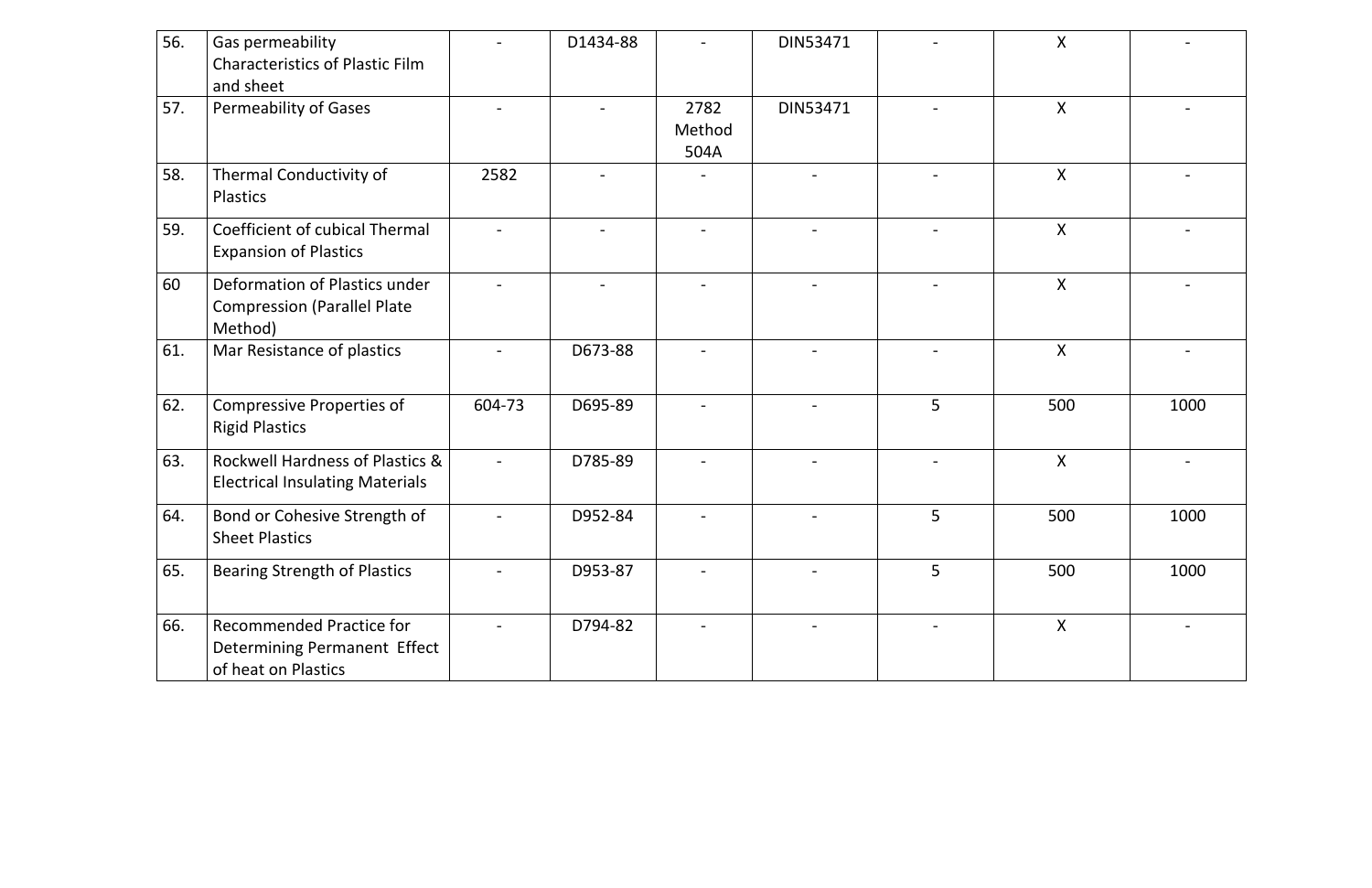| 56. | Gas permeability<br><b>Characteristics of Plastic Film</b><br>and sheet                |        | D1434-88 |                        | DIN53471        |   | $\pmb{\mathsf{X}}$ |      |
|-----|----------------------------------------------------------------------------------------|--------|----------|------------------------|-----------------|---|--------------------|------|
| 57. | <b>Permeability of Gases</b>                                                           |        |          | 2782<br>Method<br>504A | <b>DIN53471</b> |   | X                  |      |
| 58. | Thermal Conductivity of<br><b>Plastics</b>                                             | 2582   |          |                        |                 |   | X                  |      |
| 59. | <b>Coefficient of cubical Thermal</b><br><b>Expansion of Plastics</b>                  |        |          |                        |                 |   | X                  |      |
| 60  | Deformation of Plastics under<br><b>Compression (Parallel Plate</b><br>Method)         |        |          |                        |                 |   | X                  |      |
| 61. | Mar Resistance of plastics                                                             |        | D673-88  |                        |                 |   | X                  |      |
| 62. | <b>Compressive Properties of</b><br><b>Rigid Plastics</b>                              | 604-73 | D695-89  |                        |                 | 5 | 500                | 1000 |
| 63. | Rockwell Hardness of Plastics &<br><b>Electrical Insulating Materials</b>              |        | D785-89  |                        |                 |   | X                  |      |
| 64. | Bond or Cohesive Strength of<br><b>Sheet Plastics</b>                                  |        | D952-84  |                        |                 | 5 | 500                | 1000 |
| 65. | <b>Bearing Strength of Plastics</b>                                                    |        | D953-87  |                        |                 | 5 | 500                | 1000 |
| 66. | <b>Recommended Practice for</b><br>Determining Permanent Effect<br>of heat on Plastics |        | D794-82  |                        |                 |   | $\mathsf{X}$       |      |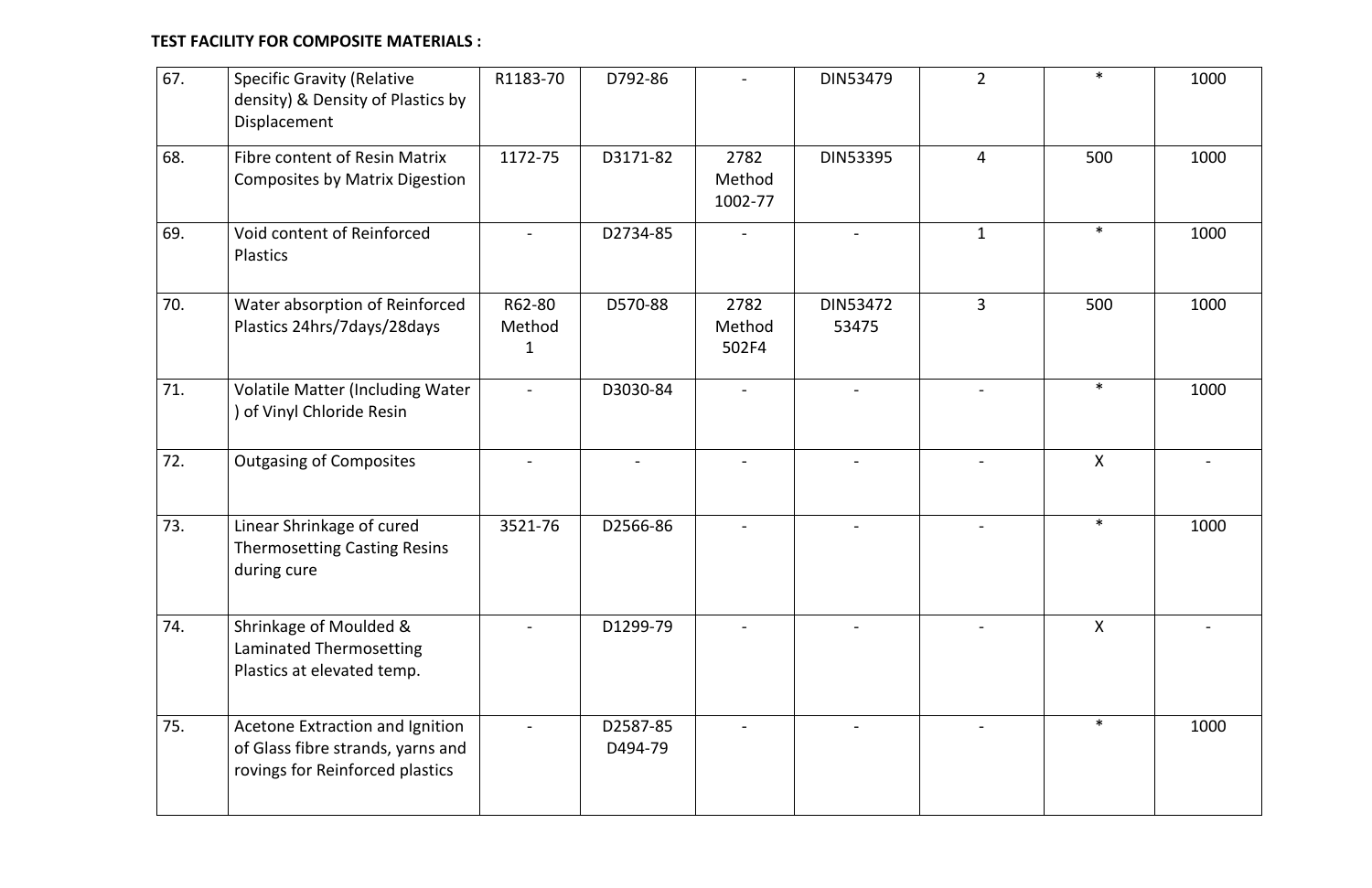### **TEST FACILITY FOR COMPOSITE MATERIALS :**

| 67. | <b>Specific Gravity (Relative</b><br>density) & Density of Plastics by<br>Displacement                  | R1183-70         | D792-86             |                           | <b>DIN53479</b>          | $2^{\circ}$    | $\ast$       | 1000 |
|-----|---------------------------------------------------------------------------------------------------------|------------------|---------------------|---------------------------|--------------------------|----------------|--------------|------|
| 68. | <b>Fibre content of Resin Matrix</b><br><b>Composites by Matrix Digestion</b>                           | 1172-75          | D3171-82            | 2782<br>Method<br>1002-77 | <b>DIN53395</b>          | $\overline{4}$ | 500          | 1000 |
| 69. | Void content of Reinforced<br>Plastics                                                                  |                  | D2734-85            |                           |                          | $\mathbf{1}$   | $\ast$       | 1000 |
| 70. | Water absorption of Reinforced<br>Plastics 24hrs/7days/28days                                           | R62-80<br>Method | D570-88             | 2782<br>Method<br>502F4   | <b>DIN53472</b><br>53475 | $\overline{3}$ | 500          | 1000 |
| 71. | <b>Volatile Matter (Including Water</b><br>of Vinyl Chloride Resin                                      | $\blacksquare$   | D3030-84            |                           |                          |                | $\ast$       | 1000 |
| 72. | <b>Outgasing of Composites</b>                                                                          |                  |                     |                           |                          |                | $\mathsf{X}$ |      |
| 73. | Linear Shrinkage of cured<br><b>Thermosetting Casting Resins</b><br>during cure                         | 3521-76          | D2566-86            |                           |                          |                | $\ast$       | 1000 |
| 74. | Shrinkage of Moulded &<br>Laminated Thermosetting<br>Plastics at elevated temp.                         |                  | D1299-79            |                           |                          |                | $\mathsf{X}$ |      |
| 75. | Acetone Extraction and Ignition<br>of Glass fibre strands, yarns and<br>rovings for Reinforced plastics |                  | D2587-85<br>D494-79 |                           |                          |                | $\ast$       | 1000 |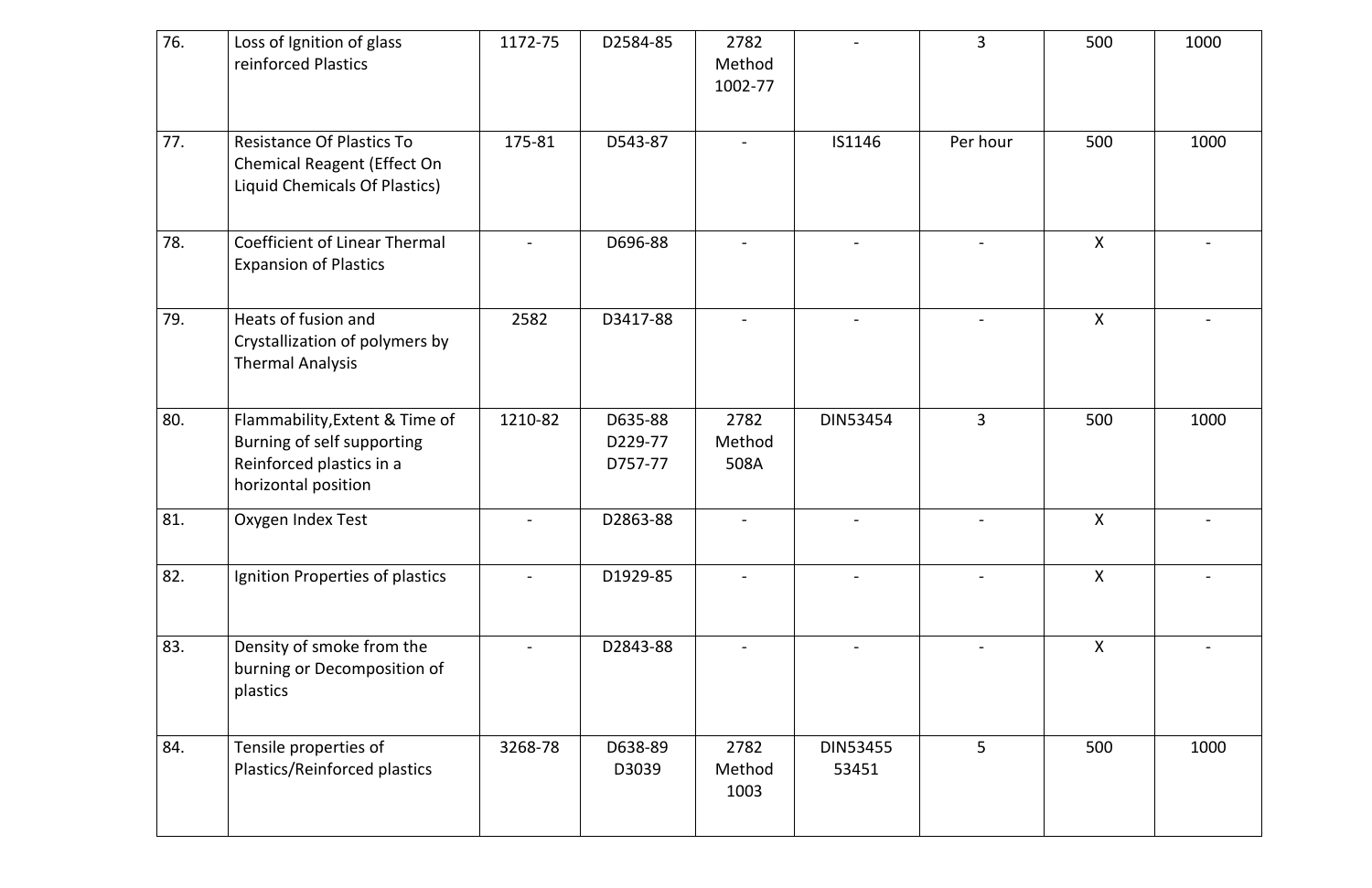| 76. | Loss of Ignition of glass<br>reinforced Plastics                                                                | 1172-75 | D2584-85                      | 2782<br>Method<br>1002-77 |                          | $\overline{3}$ | 500          | 1000 |
|-----|-----------------------------------------------------------------------------------------------------------------|---------|-------------------------------|---------------------------|--------------------------|----------------|--------------|------|
| 77. | <b>Resistance Of Plastics To</b><br><b>Chemical Reagent (Effect On</b><br>Liquid Chemicals Of Plastics)         | 175-81  | D543-87                       |                           | IS1146                   | Per hour       | 500          | 1000 |
| 78. | <b>Coefficient of Linear Thermal</b><br><b>Expansion of Plastics</b>                                            |         | D696-88                       |                           |                          |                | X            |      |
| 79. | Heats of fusion and<br>Crystallization of polymers by<br><b>Thermal Analysis</b>                                | 2582    | D3417-88                      |                           |                          |                | X            |      |
| 80. | Flammability, Extent & Time of<br>Burning of self supporting<br>Reinforced plastics in a<br>horizontal position | 1210-82 | D635-88<br>D229-77<br>D757-77 | 2782<br>Method<br>508A    | <b>DIN53454</b>          | $\overline{3}$ | 500          | 1000 |
| 81. | Oxygen Index Test                                                                                               |         | D2863-88                      |                           |                          |                | X            |      |
| 82. | Ignition Properties of plastics                                                                                 |         | D1929-85                      |                           |                          |                | $\mathsf{X}$ |      |
| 83. | Density of smoke from the<br>burning or Decomposition of<br>plastics                                            |         | D2843-88                      |                           |                          |                | $\sf X$      |      |
| 84. | Tensile properties of<br>Plastics/Reinforced plastics                                                           | 3268-78 | D638-89<br>D3039              | 2782<br>Method<br>1003    | <b>DIN53455</b><br>53451 | 5 <sup>1</sup> | 500          | 1000 |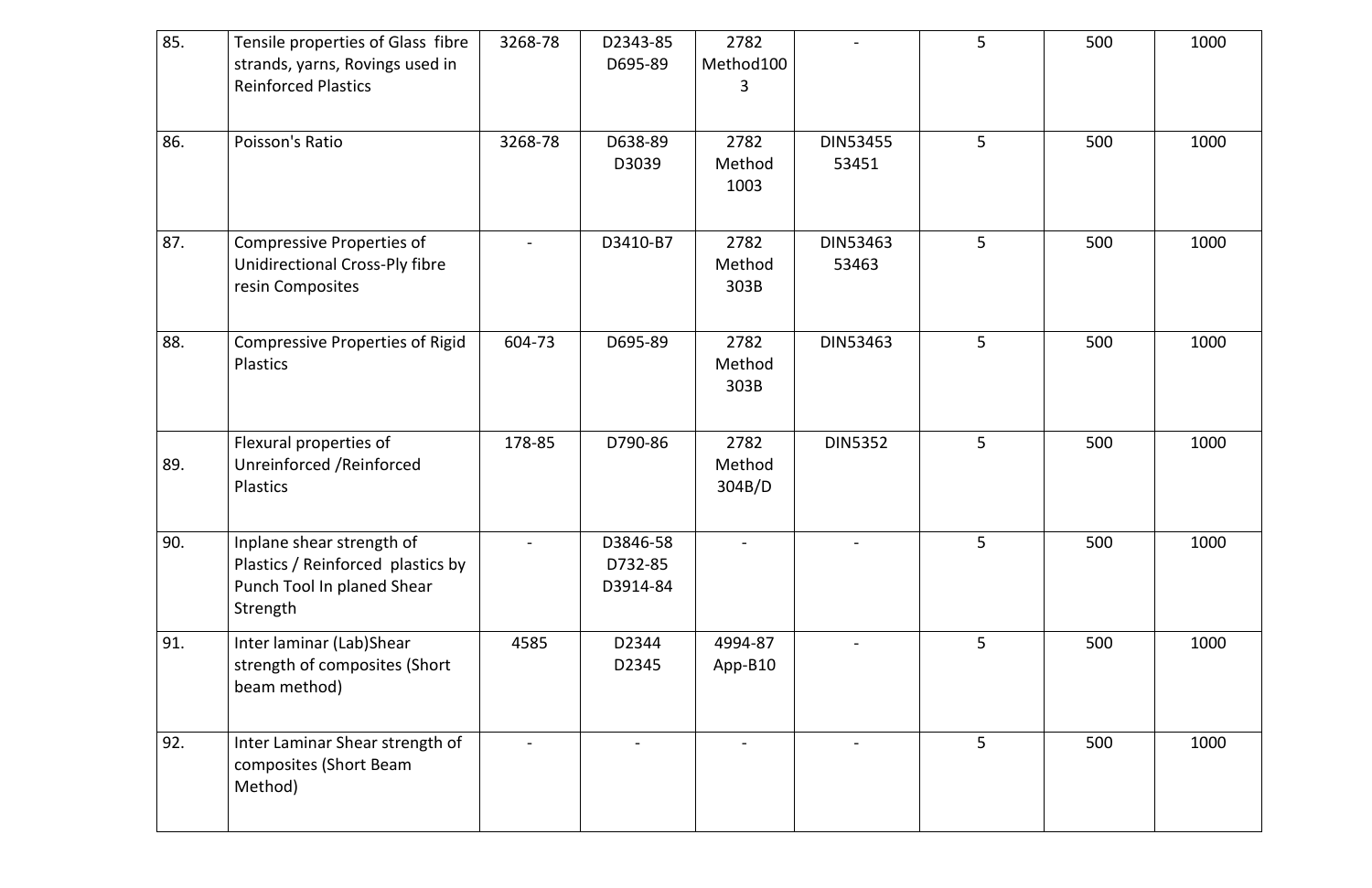| 85. | Tensile properties of Glass fibre<br>strands, yarns, Rovings used in<br><b>Reinforced Plastics</b>       | 3268-78 | D2343-85<br>D695-89             | 2782<br>Method100<br>3   |                          | 5              | 500 | 1000 |
|-----|----------------------------------------------------------------------------------------------------------|---------|---------------------------------|--------------------------|--------------------------|----------------|-----|------|
| 86. | Poisson's Ratio                                                                                          | 3268-78 | D638-89<br>D3039                | 2782<br>Method<br>1003   | <b>DIN53455</b><br>53451 | 5              | 500 | 1000 |
| 87. | <b>Compressive Properties of</b><br><b>Unidirectional Cross-Ply fibre</b><br>resin Composites            |         | D3410-B7                        | 2782<br>Method<br>303B   | <b>DIN53463</b><br>53463 | 5 <sup>5</sup> | 500 | 1000 |
| 88. | <b>Compressive Properties of Rigid</b><br>Plastics                                                       | 604-73  | D695-89                         | 2782<br>Method<br>303B   | <b>DIN53463</b>          | 5              | 500 | 1000 |
| 89. | Flexural properties of<br>Unreinforced / Reinforced<br><b>Plastics</b>                                   | 178-85  | D790-86                         | 2782<br>Method<br>304B/D | <b>DIN5352</b>           | 5              | 500 | 1000 |
| 90. | Inplane shear strength of<br>Plastics / Reinforced plastics by<br>Punch Tool In planed Shear<br>Strength |         | D3846-58<br>D732-85<br>D3914-84 |                          |                          | 5              | 500 | 1000 |
| 91. | Inter laminar (Lab)Shear<br>strength of composites (Short<br>beam method)                                | 4585    | D2344<br>D2345                  | 4994-87<br>App-B10       |                          | 5 <sup>1</sup> | 500 | 1000 |
| 92. | Inter Laminar Shear strength of<br>composites (Short Beam<br>Method)                                     |         |                                 |                          |                          | 5 <sup>1</sup> | 500 | 1000 |

|                          | 5 | 500 | 1000 |
|--------------------------|---|-----|------|
| <b>DIN53455</b><br>53451 | 5 | 500 | 1000 |
| DIN53463<br>53463        | 5 | 500 | 1000 |
| DIN53463                 | 5 | 500 | 1000 |
| <b>DIN5352</b>           | 5 | 500 | 1000 |
|                          | 5 | 500 | 1000 |
|                          | 5 | 500 | 1000 |
|                          | 5 | 500 | 1000 |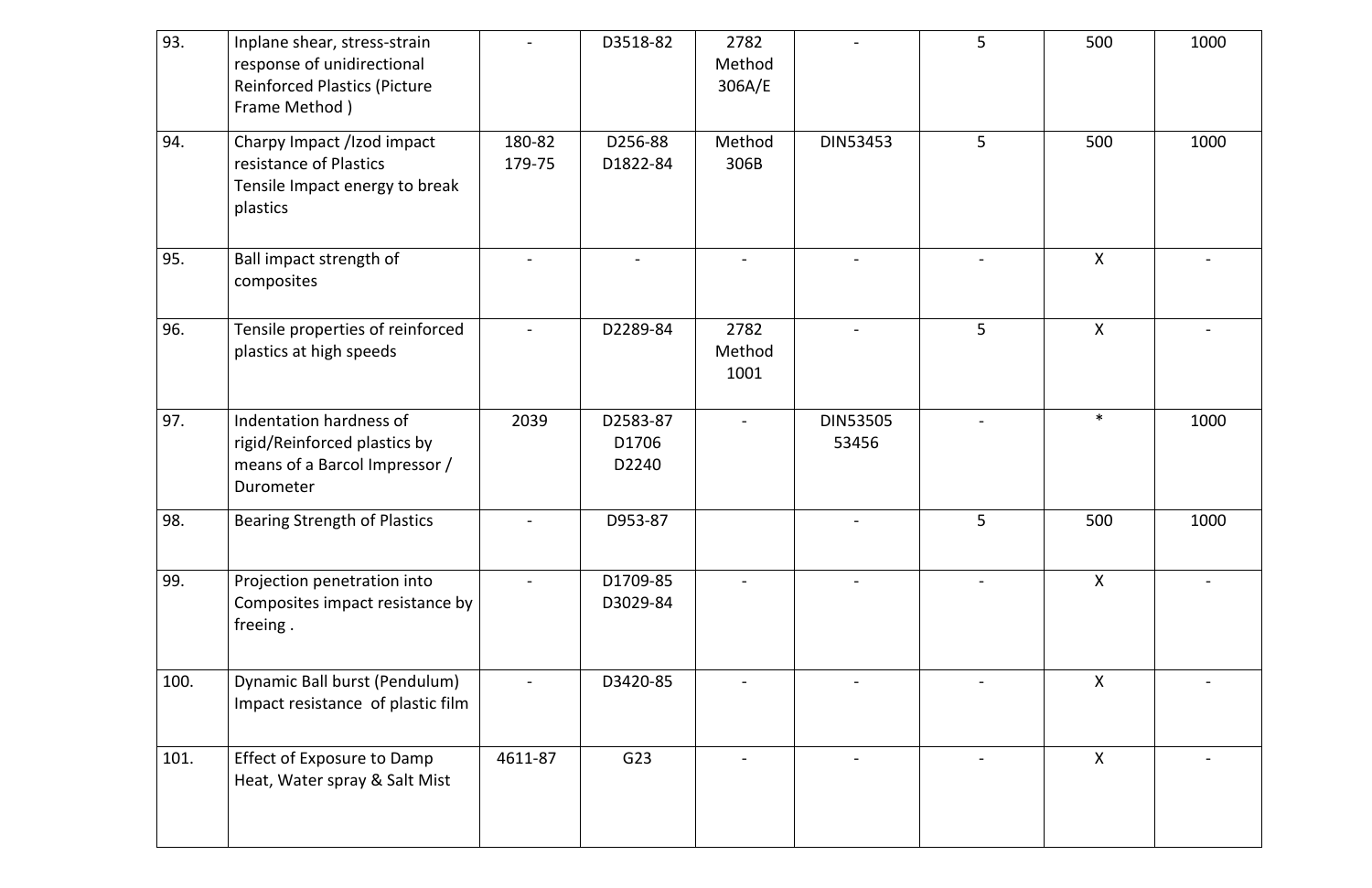| 93.  | Inplane shear, stress-strain<br>response of unidirectional<br><b>Reinforced Plastics (Picture</b><br>Frame Method) |                  | D3518-82                   | 2782<br>Method<br>306A/E |                          | 5              | 500          | 1000 |
|------|--------------------------------------------------------------------------------------------------------------------|------------------|----------------------------|--------------------------|--------------------------|----------------|--------------|------|
| 94.  | Charpy Impact /Izod impact<br>resistance of Plastics<br>Tensile Impact energy to break<br>plastics                 | 180-82<br>179-75 | D256-88<br>D1822-84        | Method<br>306B           | <b>DIN53453</b>          | 5 <sup>1</sup> | 500          | 1000 |
| 95.  | Ball impact strength of<br>composites                                                                              |                  |                            |                          |                          |                | $\mathsf{X}$ |      |
| 96.  | Tensile properties of reinforced<br>plastics at high speeds                                                        |                  | D2289-84                   | 2782<br>Method<br>1001   |                          | 5              | $\mathsf{X}$ |      |
| 97.  | Indentation hardness of<br>rigid/Reinforced plastics by<br>means of a Barcol Impressor /<br>Durometer              | 2039             | D2583-87<br>D1706<br>D2240 |                          | <b>DIN53505</b><br>53456 |                | $\ast$       | 1000 |
| 98.  | <b>Bearing Strength of Plastics</b>                                                                                | $\equiv$         | D953-87                    |                          |                          | 5              | 500          | 1000 |
| 99.  | Projection penetration into<br>Composites impact resistance by<br>freeing.                                         |                  | D1709-85<br>D3029-84       |                          |                          |                | $\sf X$      |      |
| 100. | Dynamic Ball burst (Pendulum)<br>Impact resistance of plastic film                                                 |                  | D3420-85                   |                          |                          |                | $\mathsf{X}$ |      |
| 101. | <b>Effect of Exposure to Damp</b><br>Heat, Water spray & Salt Mist                                                 | 4611-87          | G23                        |                          |                          |                | $\sf X$      |      |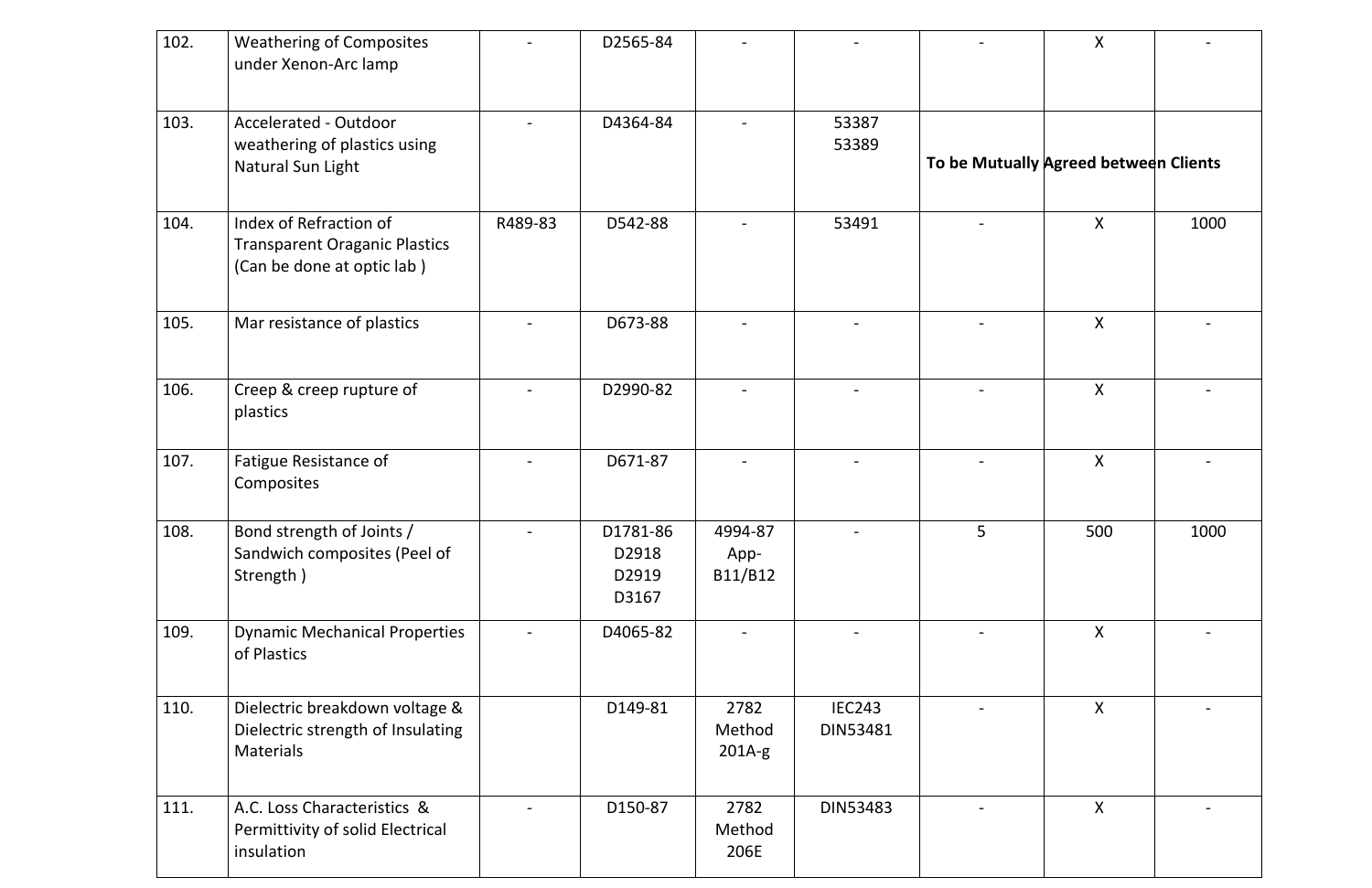| 102. | <b>Weathering of Composites</b><br>under Xenon-Arc lamp                                      |         | D2565-84                            |                            |                                  |                                       | $\mathsf{X}$ |      |
|------|----------------------------------------------------------------------------------------------|---------|-------------------------------------|----------------------------|----------------------------------|---------------------------------------|--------------|------|
| 103. | Accelerated - Outdoor<br>weathering of plastics using<br>Natural Sun Light                   |         | D4364-84                            |                            | 53387<br>53389                   | To be Mutually Agreed between Clients |              |      |
| 104. | Index of Refraction of<br><b>Transparent Oraganic Plastics</b><br>(Can be done at optic lab) | R489-83 | D542-88                             |                            | 53491                            |                                       | $\mathsf{X}$ | 1000 |
| 105. | Mar resistance of plastics                                                                   |         | D673-88                             |                            |                                  |                                       | $\mathsf{X}$ |      |
| 106. | Creep & creep rupture of<br>plastics                                                         |         | D2990-82                            |                            |                                  |                                       | $\mathsf{X}$ |      |
| 107. | Fatigue Resistance of<br>Composites                                                          |         | D671-87                             |                            |                                  |                                       | $\mathsf{X}$ |      |
| 108. | Bond strength of Joints /<br>Sandwich composites (Peel of<br>Strength)                       |         | D1781-86<br>D2918<br>D2919<br>D3167 | 4994-87<br>App-<br>B11/B12 |                                  | 5 <sup>5</sup>                        | 500          | 1000 |
| 109. | <b>Dynamic Mechanical Properties</b><br>of Plastics                                          |         | D4065-82                            |                            |                                  |                                       | X            |      |
| 110. | Dielectric breakdown voltage &<br>Dielectric strength of Insulating<br><b>Materials</b>      |         | D149-81                             | 2782<br>Method<br>$201A-g$ | <b>IEC243</b><br><b>DIN53481</b> |                                       | $\mathsf{X}$ |      |
| 111. | A.C. Loss Characteristics &<br>Permittivity of solid Electrical<br>insulation                |         | D150-87                             | 2782<br>Method<br>206E     | DIN53483                         |                                       | $\mathsf{X}$ |      |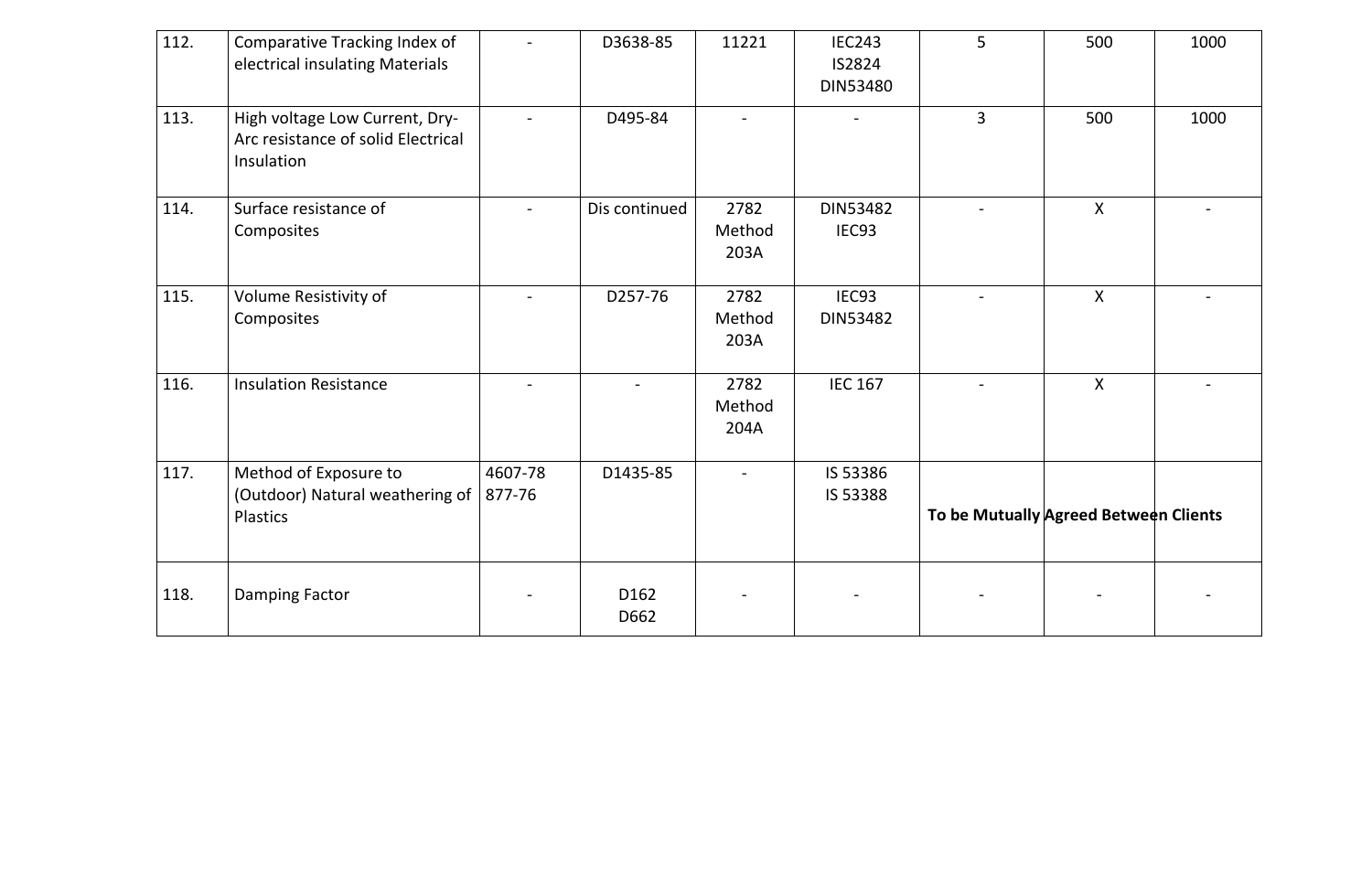| 112. | Comparative Tracking Index of<br>electrical insulating Materials                   |                   | D3638-85                 | 11221                  | <b>IEC243</b><br><b>IS2824</b><br><b>DIN53480</b> | 5 <sup>5</sup>                        | 500              | 1000 |
|------|------------------------------------------------------------------------------------|-------------------|--------------------------|------------------------|---------------------------------------------------|---------------------------------------|------------------|------|
| 113. | High voltage Low Current, Dry-<br>Arc resistance of solid Electrical<br>Insulation |                   | D495-84                  |                        |                                                   | $\overline{3}$                        | 500              | 1000 |
| 114. | Surface resistance of<br>Composites                                                |                   | Dis continued            | 2782<br>Method<br>203A | DIN53482<br>IEC <sub>93</sub>                     |                                       | $\mathsf{X}$     |      |
| 115. | Volume Resistivity of<br>Composites                                                |                   | D257-76                  | 2782<br>Method<br>203A | IEC93<br><b>DIN53482</b>                          |                                       | $\boldsymbol{X}$ |      |
| 116. | <b>Insulation Resistance</b>                                                       |                   |                          | 2782<br>Method<br>204A | <b>IEC 167</b>                                    |                                       | $\boldsymbol{X}$ |      |
| 117. | Method of Exposure to<br>(Outdoor) Natural weathering of<br>Plastics               | 4607-78<br>877-76 | D1435-85                 |                        | IS 53386<br>IS 53388                              | To be Mutually Agreed Between Clients |                  |      |
| 118. | <b>Damping Factor</b>                                                              |                   | D <sub>162</sub><br>D662 |                        |                                                   |                                       |                  |      |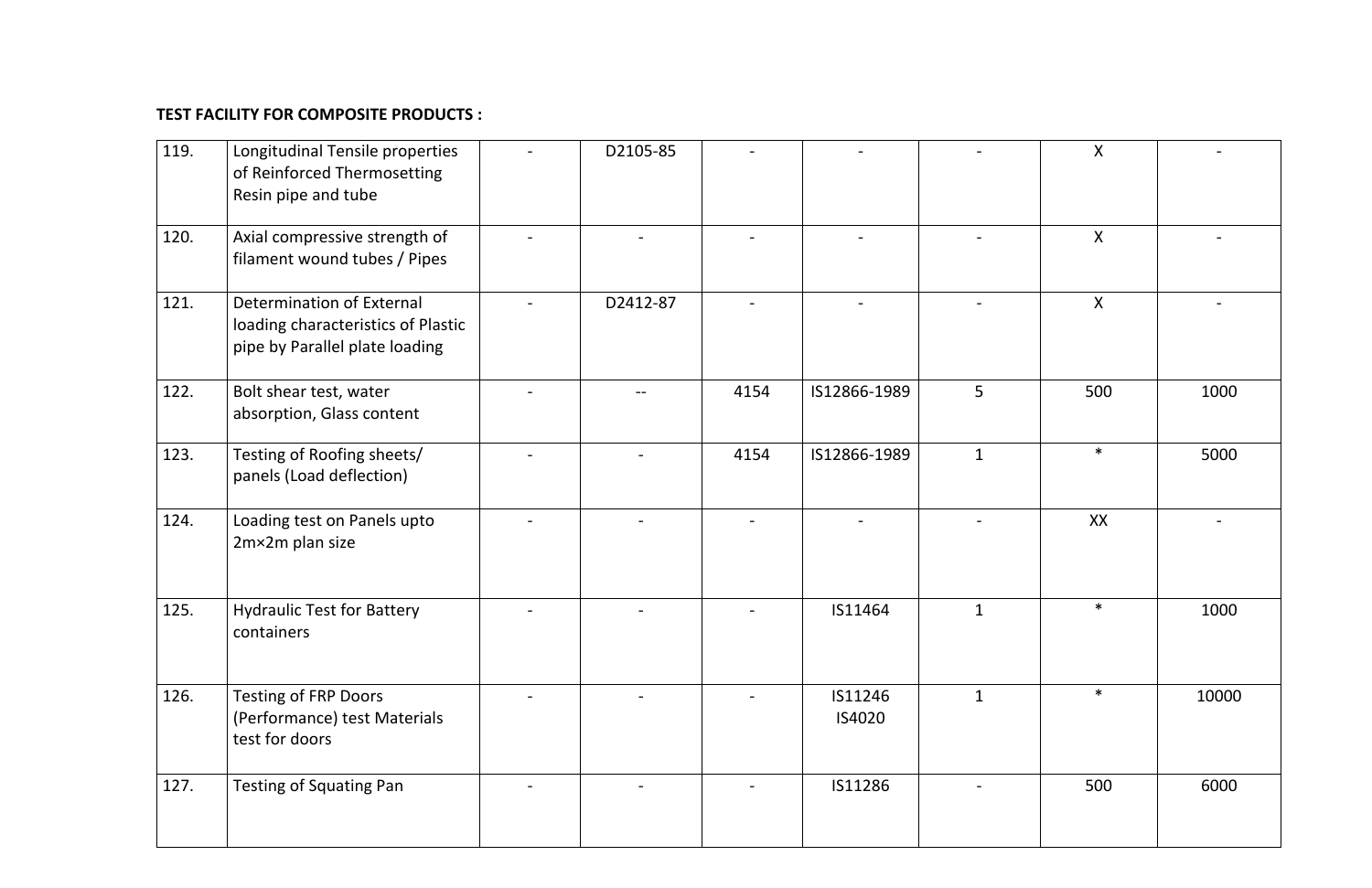## **TEST FACILITY FOR COMPOSITE PRODUCTS :**

| 119. | Longitudinal Tensile properties<br>of Reinforced Thermosetting<br>Resin pipe and tube             | D2105-85 |      |                   |              | $\pmb{\mathsf{X}}$ |       |
|------|---------------------------------------------------------------------------------------------------|----------|------|-------------------|--------------|--------------------|-------|
| 120. | Axial compressive strength of<br>filament wound tubes / Pipes                                     |          |      |                   |              | X                  |       |
| 121. | Determination of External<br>loading characteristics of Plastic<br>pipe by Parallel plate loading | D2412-87 |      |                   |              | $\boldsymbol{X}$   |       |
| 122. | Bolt shear test, water<br>absorption, Glass content                                               |          | 4154 | IS12866-1989      | 5            | 500                | 1000  |
| 123. | Testing of Roofing sheets/<br>panels (Load deflection)                                            |          | 4154 | IS12866-1989      | $\mathbf{1}$ | $\ast$             | 5000  |
| 124. | Loading test on Panels upto<br>2m×2m plan size                                                    |          |      |                   |              | XX                 |       |
| 125. | <b>Hydraulic Test for Battery</b><br>containers                                                   |          |      | IS11464           | $\mathbf{1}$ | $\ast$             | 1000  |
| 126. | <b>Testing of FRP Doors</b><br>(Performance) test Materials<br>test for doors                     |          |      | IS11246<br>IS4020 | $\mathbf{1}$ | $\ast$             | 10000 |
| 127. | <b>Testing of Squating Pan</b>                                                                    |          |      | IS11286           |              | 500                | 6000  |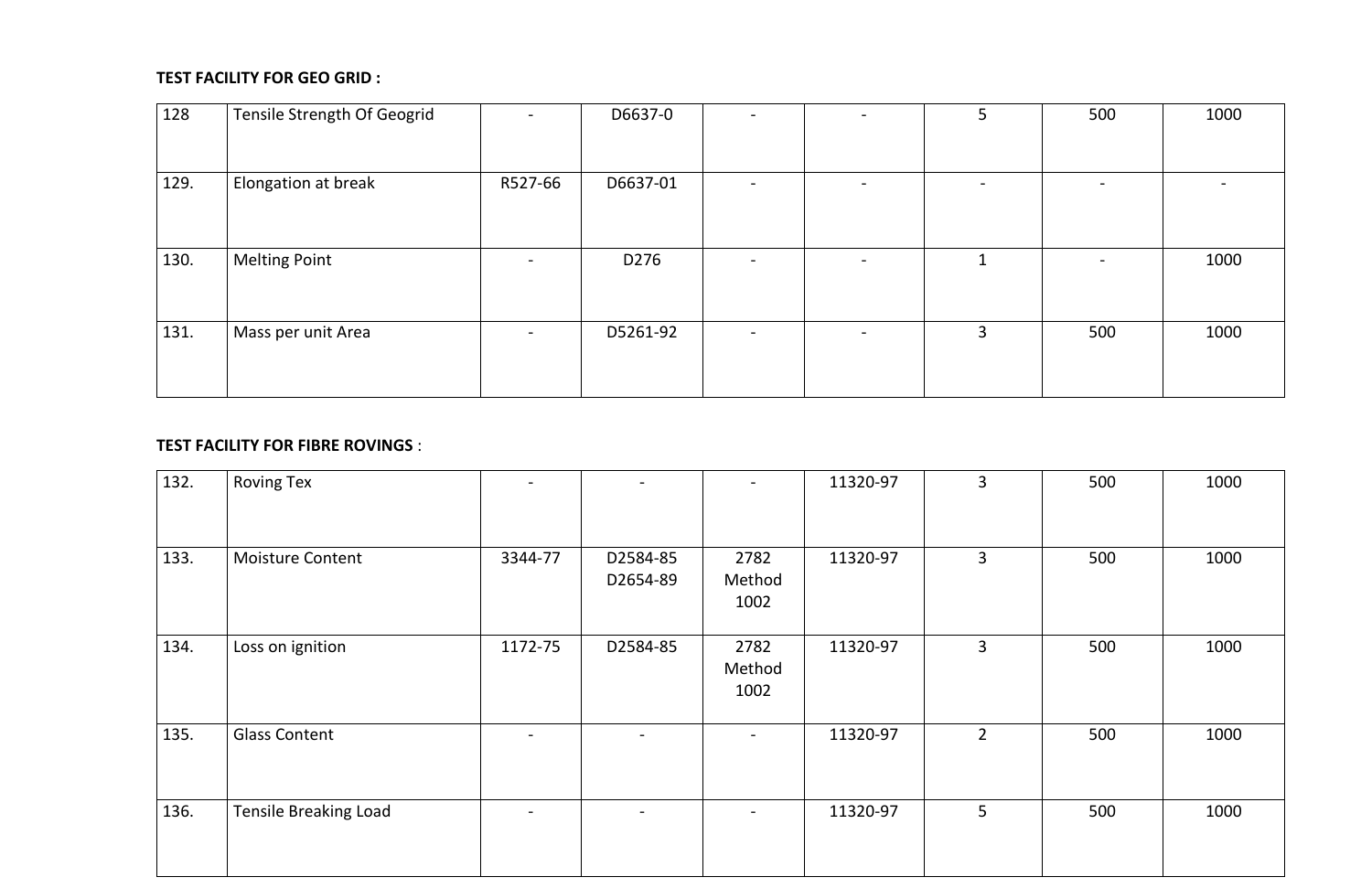## **TEST FACILITY FOR GEO GRID :**

| 128  | Tensile Strength Of Geogrid |         | D6637-0  | $\overline{\phantom{a}}$ |                          | 5                        | 500                      | 1000 |
|------|-----------------------------|---------|----------|--------------------------|--------------------------|--------------------------|--------------------------|------|
| 129. | Elongation at break         | R527-66 | D6637-01 | $\overline{\phantom{a}}$ | $\overline{\phantom{0}}$ | $\overline{\phantom{0}}$ | $\overline{\phantom{a}}$ |      |
| 130. | <b>Melting Point</b>        |         | D276     | $\overline{\phantom{a}}$ | $\overline{\phantom{0}}$ | $\mathbf{1}$             | $\overline{\phantom{a}}$ | 1000 |
| 131. | Mass per unit Area          |         | D5261-92 | $\overline{\phantom{a}}$ | $\overline{\phantom{0}}$ | $\overline{3}$           | 500                      | 1000 |

## **TEST FACILITY FOR FIBRE ROVINGS** :

| 132. | <b>Roving Tex</b>            | $\overline{\phantom{0}}$ |                          | $\overline{\phantom{a}}$ | 11320-97 | $\overline{3}$ | 500 | 1000 |
|------|------------------------------|--------------------------|--------------------------|--------------------------|----------|----------------|-----|------|
| 133. | <b>Moisture Content</b>      | 3344-77                  | D2584-85<br>D2654-89     | 2782<br>Method<br>1002   | 11320-97 | $\overline{3}$ | 500 | 1000 |
| 134. | Loss on ignition             | 1172-75                  | D2584-85                 | 2782<br>Method<br>1002   | 11320-97 | $\overline{3}$ | 500 | 1000 |
| 135. | <b>Glass Content</b>         |                          | $\overline{\phantom{a}}$ | $\overline{\phantom{0}}$ | 11320-97 | $2^{\circ}$    | 500 | 1000 |
| 136. | <b>Tensile Breaking Load</b> |                          |                          |                          | 11320-97 | 5 <sup>1</sup> | 500 | 1000 |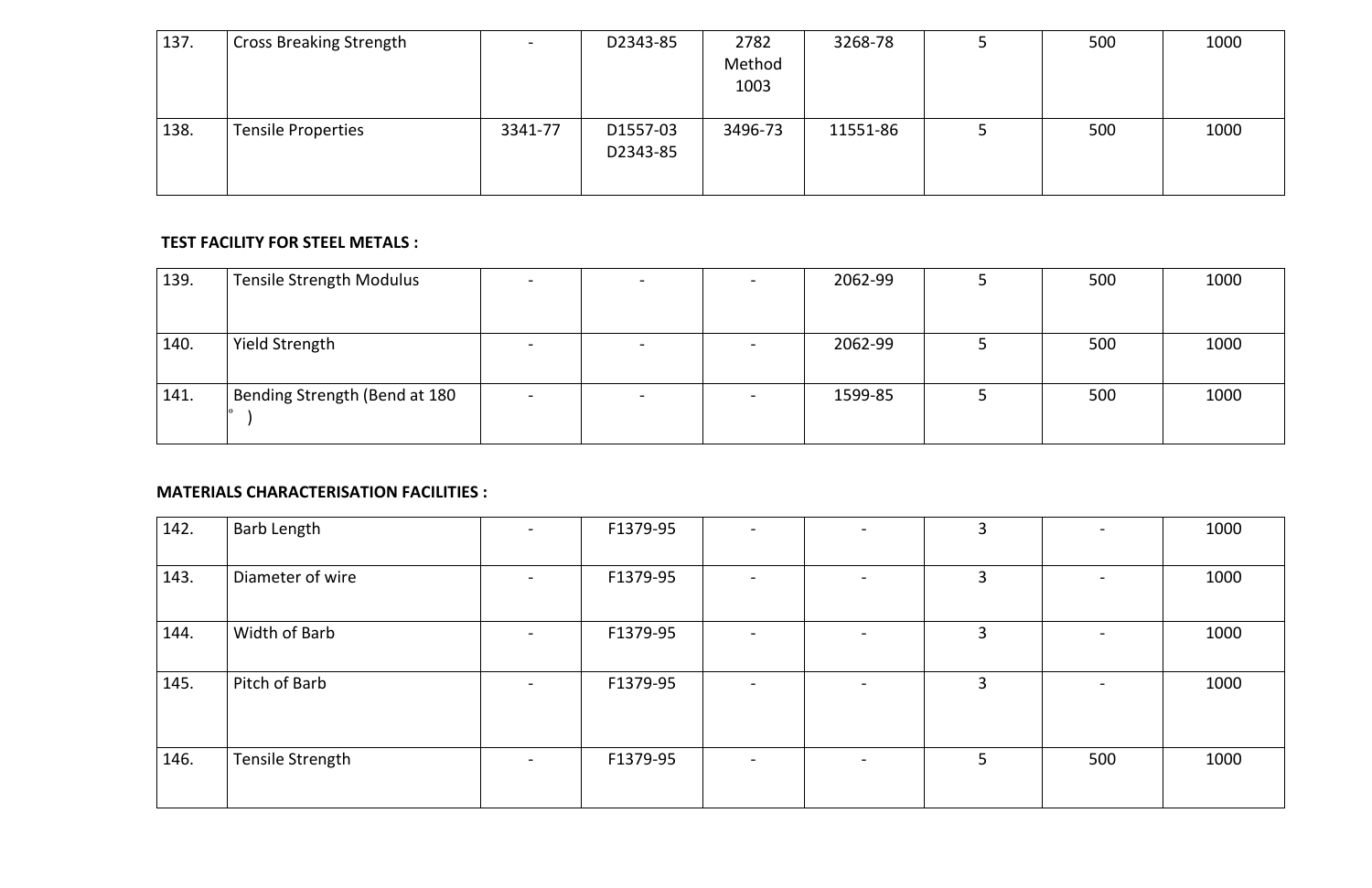| 137. | <b>Cross Breaking Strength</b> |         | D2343-85             | 2782<br>Method<br>1003 | 3268-78  | 500 | 1000 |
|------|--------------------------------|---------|----------------------|------------------------|----------|-----|------|
| 138. | <b>Tensile Properties</b>      | 3341-77 | D1557-03<br>D2343-85 | 3496-73                | 11551-86 | 500 | 1000 |

#### **TEST FACILITY FOR STEEL METALS :**

| 139. | Tensile Strength Modulus      | $\overline{\phantom{0}}$ | $\overline{\phantom{0}}$ | 2062-99 | 500 | 1000 |
|------|-------------------------------|--------------------------|--------------------------|---------|-----|------|
| 140. | <b>Yield Strength</b>         |                          |                          | 2062-99 | 500 | 1000 |
| 141. | Bending Strength (Bend at 180 |                          |                          | 1599-85 | 500 | 1000 |

## **MATERIALS CHARACTERISATION FACILITIES :**

| 142. | <b>Barb Length</b> | F1379-95 |                          |                          | 3              |     | 1000 |
|------|--------------------|----------|--------------------------|--------------------------|----------------|-----|------|
| 143. | Diameter of wire   | F1379-95 | $\overline{\phantom{a}}$ | $\overline{\phantom{0}}$ | $\overline{3}$ |     | 1000 |
| 144. | Width of Barb      | F1379-95 | $\overline{\phantom{a}}$ | $\overline{\phantom{0}}$ | $\overline{3}$ |     | 1000 |
| 145. | Pitch of Barb      | F1379-95 | $\overline{\phantom{0}}$ | $\overline{\phantom{0}}$ | $\overline{3}$ |     | 1000 |
| 146. | Tensile Strength   | F1379-95 | $\overline{\phantom{a}}$ | $\overline{\phantom{0}}$ | 5              | 500 | 1000 |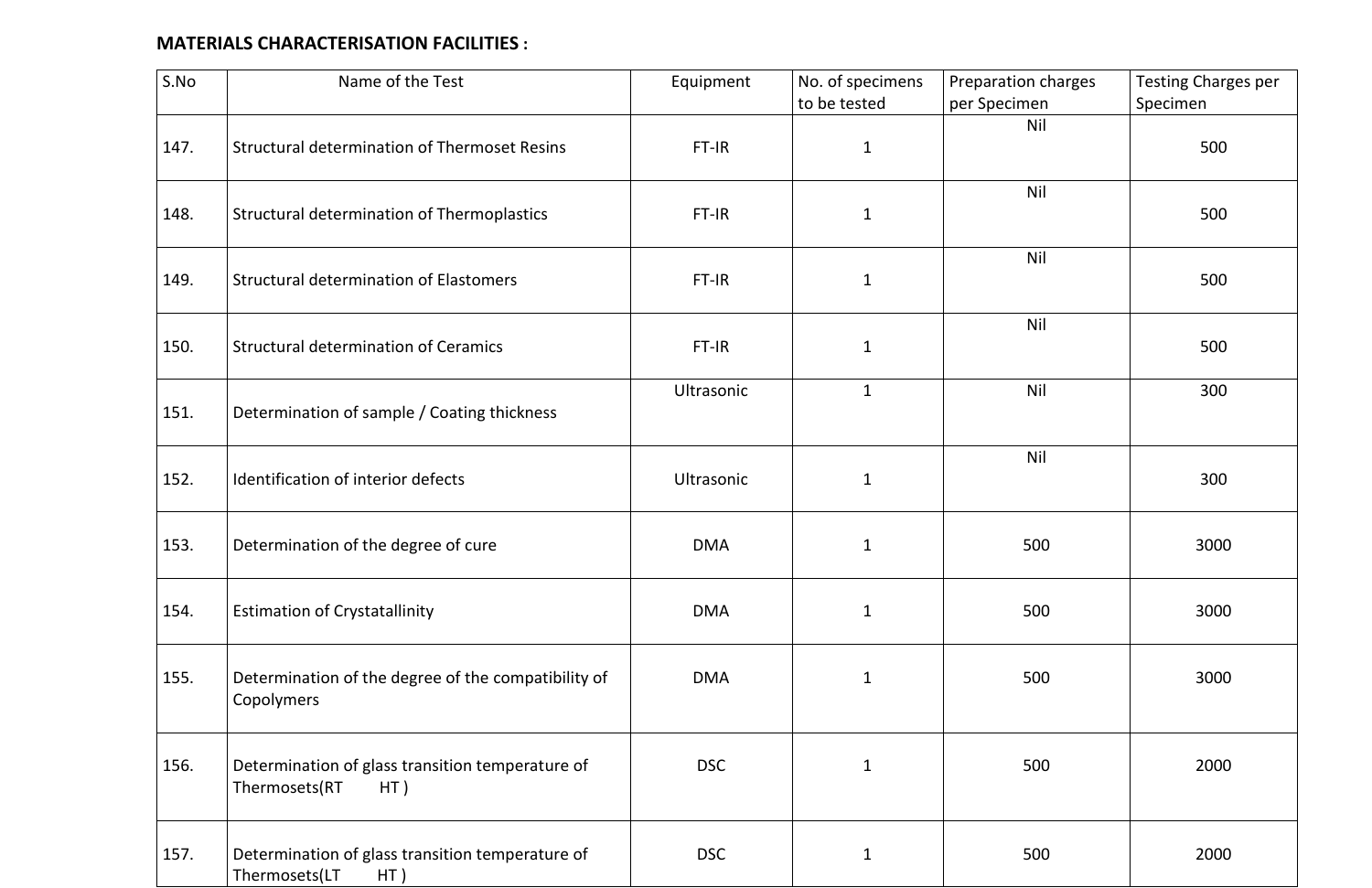# **MATERIALS CHARACTERISATION FACILITIES :**

| S.No | Name of the Test                                                         | Equipment  | No. of specimens<br>to be tested | Preparation charges<br>per Specimen | <b>Testing Charges per</b><br>Specimen |
|------|--------------------------------------------------------------------------|------------|----------------------------------|-------------------------------------|----------------------------------------|
| 147. | <b>Structural determination of Thermoset Resins</b>                      | FT-IR      | $\mathbf{1}$                     | Nil                                 | 500                                    |
| 148. | <b>Structural determination of Thermoplastics</b>                        | FT-IR      | $\mathbf{1}$                     | <b>Nil</b>                          | 500                                    |
| 149. | <b>Structural determination of Elastomers</b>                            | FT-IR      | $\mathbf{1}$                     | <b>Nil</b>                          | 500                                    |
| 150. | <b>Structural determination of Ceramics</b>                              | FT-IR      | $\mathbf{1}$                     | <b>Nil</b>                          | 500                                    |
| 151. | Determination of sample / Coating thickness                              | Ultrasonic | $\mathbf 1$                      | <b>Nil</b>                          | 300                                    |
| 152. | Identification of interior defects                                       | Ultrasonic | $\mathbf 1$                      | <b>Nil</b>                          | 300                                    |
| 153. | Determination of the degree of cure                                      | <b>DMA</b> | $\mathbf 1$                      | 500                                 | 3000                                   |
| 154. | <b>Estimation of Crystatallinity</b>                                     | <b>DMA</b> | $\mathbf{1}$                     | 500                                 | 3000                                   |
| 155. | Determination of the degree of the compatibility of<br>Copolymers        | <b>DMA</b> | $\mathbf{1}$                     | 500                                 | 3000                                   |
| 156. | Determination of glass transition temperature of<br>Thermosets(RT<br>HT) | <b>DSC</b> | $\mathbf{1}$                     | 500                                 | 2000                                   |
| 157. | Determination of glass transition temperature of<br>Thermosets(LT<br>HT) | <b>DSC</b> | $\mathbf 1$                      | 500                                 | 2000                                   |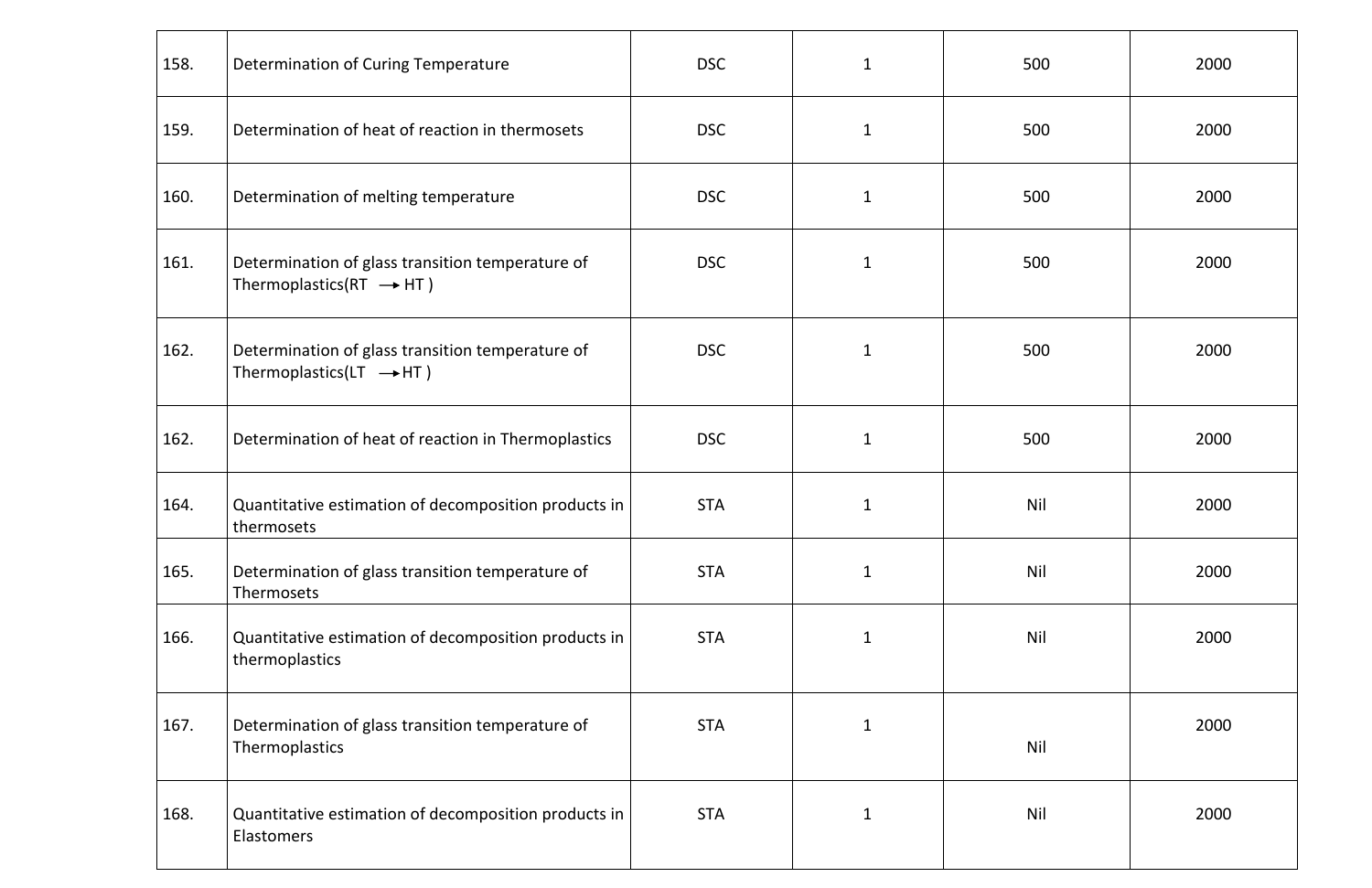| 158. | Determination of Curing Temperature                                                     | <b>DSC</b> | $\mathbf{1}$ | 500        | 2000 |
|------|-----------------------------------------------------------------------------------------|------------|--------------|------------|------|
| 159. | Determination of heat of reaction in thermosets                                         | <b>DSC</b> | $\mathbf{1}$ | 500        | 2000 |
| 160. | Determination of melting temperature                                                    | <b>DSC</b> | $\mathbf{1}$ | 500        | 2000 |
| 161. | Determination of glass transition temperature of<br>Thermoplastics(RT $\rightarrow$ HT) | <b>DSC</b> | $\mathbf{1}$ | 500        | 2000 |
| 162. | Determination of glass transition temperature of<br>Thermoplastics(LT $\rightarrow$ HT) | <b>DSC</b> | $\mathbf{1}$ | 500        | 2000 |
| 162. | Determination of heat of reaction in Thermoplastics                                     | <b>DSC</b> | $\mathbf{1}$ | 500        | 2000 |
| 164. | Quantitative estimation of decomposition products in<br>thermosets                      | <b>STA</b> | $\mathbf{1}$ | <b>Nil</b> | 2000 |
| 165. | Determination of glass transition temperature of<br>Thermosets                          | <b>STA</b> | $\mathbf{1}$ | <b>Nil</b> | 2000 |
| 166. | Quantitative estimation of decomposition products in<br>thermoplastics                  | <b>STA</b> | $\mathbf{1}$ | <b>Nil</b> | 2000 |
| 167. | Determination of glass transition temperature of<br>Thermoplastics                      | <b>STA</b> | $\mathbf{1}$ | <b>Nil</b> | 2000 |
| 168. | Quantitative estimation of decomposition products in<br><b>Elastomers</b>               | <b>STA</b> | $\mathbf{1}$ | <b>Nil</b> | 2000 |